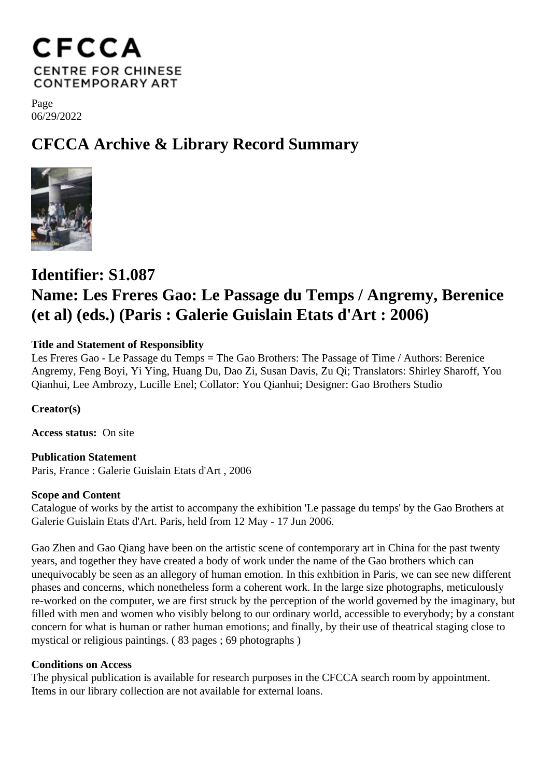## **CFCCA CENTRE FOR CHINESE CONTEMPORARY ART**

Page 06/29/2022

# **CFCCA Archive & Library Record Summary**



## **Identifier: S1.087 Name: Les Freres Gao: Le Passage du Temps / Angremy, Berenice (et al) (eds.) (Paris : Galerie Guislain Etats d'Art : 2006)**

#### **Title and Statement of Responsiblity**

Les Freres Gao - Le Passage du Temps = The Gao Brothers: The Passage of Time / Authors: Berenice Angremy, Feng Boyi, Yi Ying, Huang Du, Dao Zi, Susan Davis, Zu Qi; Translators: Shirley Sharoff, You Qianhui, Lee Ambrozy, Lucille Enel; Collator: You Qianhui; Designer: Gao Brothers Studio

**Creator(s)**

**Access status:** On site

**Publication Statement** Paris, France : Galerie Guislain Etats d'Art , 2006

#### **Scope and Content**

Catalogue of works by the artist to accompany the exhibition 'Le passage du temps' by the Gao Brothers at Galerie Guislain Etats d'Art. Paris, held from 12 May - 17 Jun 2006.

Gao Zhen and Gao Qiang have been on the artistic scene of contemporary art in China for the past twenty years, and together they have created a body of work under the name of the Gao brothers which can unequivocably be seen as an allegory of human emotion. In this exhbition in Paris, we can see new different phases and concerns, which nonetheless form a coherent work. In the large size photographs, meticulously re-worked on the computer, we are first struck by the perception of the world governed by the imaginary, but filled with men and women who visibly belong to our ordinary world, accessible to everybody; by a constant concern for what is human or rather human emotions; and finally, by their use of theatrical staging close to mystical or religious paintings. ( 83 pages ; 69 photographs )

#### **Conditions on Access**

The physical publication is available for research purposes in the CFCCA search room by appointment. Items in our library collection are not available for external loans.